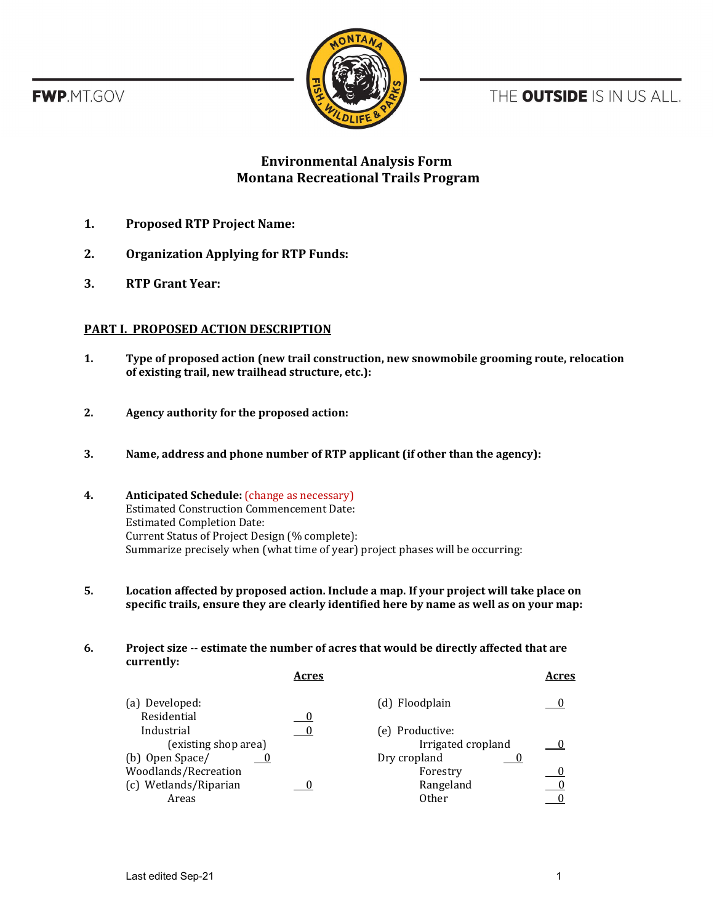**FWP.MT.GOV** 



THE OUTSIDE IS IN US ALL.

# **Environmental Analysis Form Montana Recreational Trails Program**

- **1. Proposed RTP Project Name:**
- **2. Organization Applying for RTP Funds:**
- **3. RTP Grant Year:**

## **PART I. PROPOSED ACTION DESCRIPTION**

- **1. Type of proposed action (new trail construction, new snowmobile grooming route, relocation of existing trail, new trailhead structure, etc.):**
- **2. Agency authority for the proposed action:**
- **3. Name, address and phone number of RTP applicant (if other than the agency):**
- **4. Anticipated Schedule:** (change as necessary) Estimated Construction Commencement Date: Estimated Completion Date: Current Status of Project Design (% complete): Summarize precisely when (what time of year) project phases will be occurring:
- **5. Location affected by proposed action. Include a map. If your project will take place on specific trails, ensure they are clearly identified here by name as well as on your map:**

### **6. Project size -- estimate the number of acres that would be directly affected that are currently:**

|                       | Acres |                    | Acres |
|-----------------------|-------|--------------------|-------|
| (a) Developed:        |       | (d) Floodplain     |       |
| Residential           |       |                    |       |
| Industrial            |       | (e) Productive:    |       |
| (existing shop area)  |       | Irrigated cropland |       |
| (b) Open Space/       |       | Dry cropland       |       |
| Woodlands/Recreation  |       | Forestry           |       |
| (c) Wetlands/Riparian |       | Rangeland          |       |
| Areas                 |       | <b>Other</b>       |       |
|                       |       |                    |       |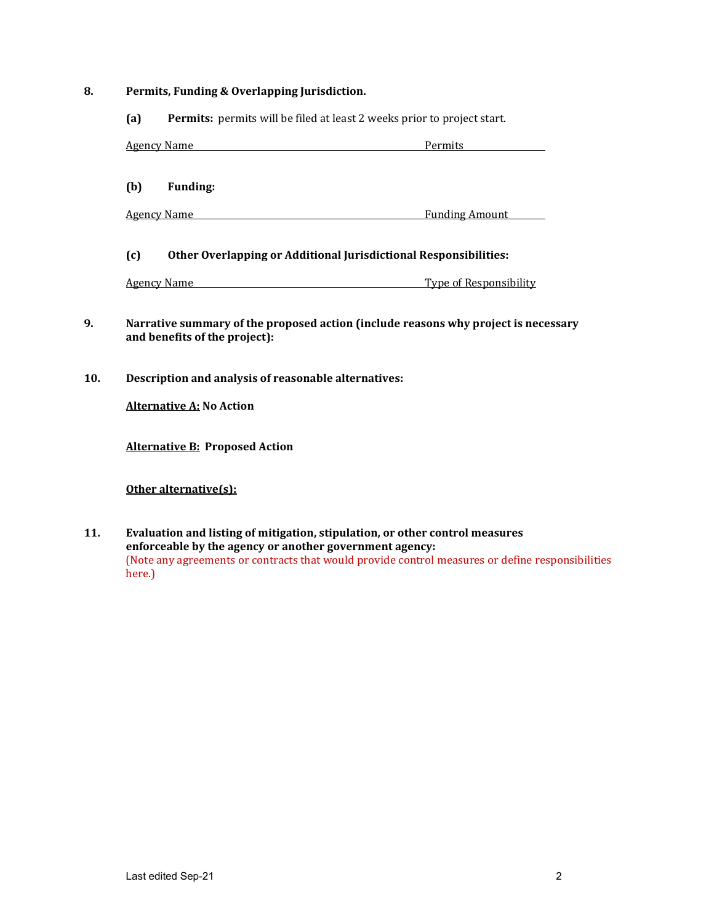### **8. Permits, Funding & Overlapping Jurisdiction.**

**(a) Permits:** permits will be filed at least 2 weeks prior to project start.

| <b>Agency Name</b> | Permits |
|--------------------|---------|
|                    |         |
|                    |         |

**(b) Funding:**

Agency Name Funding Amount

### **(c) Other Overlapping or Additional Jurisdictional Responsibilities:**

Agency Name Type of Responsibility

- **9. Narrative summary of the proposed action (include reasons why project is necessary and benefits of the project):**
- **10. Description and analysis of reasonable alternatives:**

**Alternative A: No Action**

**Alternative B: Proposed Action** 

**Other alternative(s):**

**11. Evaluation and listing of mitigation, stipulation, or other control measures enforceable by the agency or another government agency:** (Note any agreements or contracts that would provide control measures or define responsibilities here.)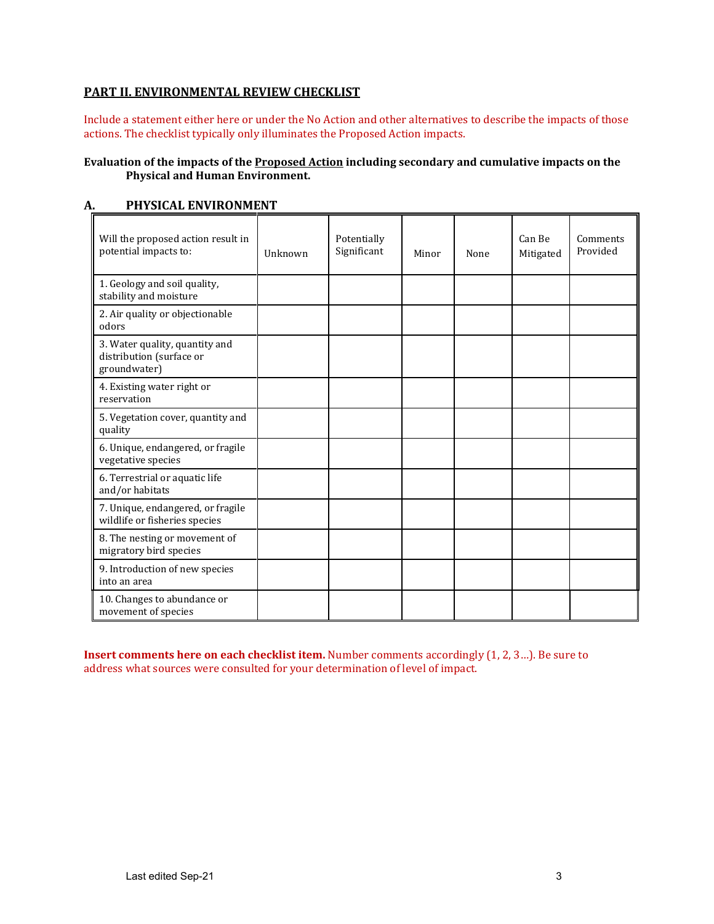## **PART II. ENVIRONMENTAL REVIEW CHECKLIST**

Include a statement either here or under the No Action and other alternatives to describe the impacts of those actions. The checklist typically only illuminates the Proposed Action impacts.

### **Evaluation of the impacts of the Proposed Action including secondary and cumulative impacts on the Physical and Human Environment.**

| Will the proposed action result in<br>potential impacts to:                | Unknown | Potentially<br>Significant | Minor | None | Can Be<br>Mitigated | Comments<br>Provided |
|----------------------------------------------------------------------------|---------|----------------------------|-------|------|---------------------|----------------------|
| 1. Geology and soil quality,<br>stability and moisture                     |         |                            |       |      |                     |                      |
| 2. Air quality or objectionable<br>odors                                   |         |                            |       |      |                     |                      |
| 3. Water quality, quantity and<br>distribution (surface or<br>groundwater) |         |                            |       |      |                     |                      |
| 4. Existing water right or<br>reservation                                  |         |                            |       |      |                     |                      |
| 5. Vegetation cover, quantity and<br>quality                               |         |                            |       |      |                     |                      |
| 6. Unique, endangered, or fragile<br>vegetative species                    |         |                            |       |      |                     |                      |
| 6. Terrestrial or aquatic life<br>and/or habitats                          |         |                            |       |      |                     |                      |
| 7. Unique, endangered, or fragile<br>wildlife or fisheries species         |         |                            |       |      |                     |                      |
| 8. The nesting or movement of<br>migratory bird species                    |         |                            |       |      |                     |                      |
| 9. Introduction of new species<br>into an area                             |         |                            |       |      |                     |                      |
| 10. Changes to abundance or<br>movement of species                         |         |                            |       |      |                     |                      |

## **A. PHYSICAL ENVIRONMENT**

**Insert comments here on each checklist item.** Number comments accordingly (1, 2, 3…). Be sure to address what sources were consulted for your determination of level of impact.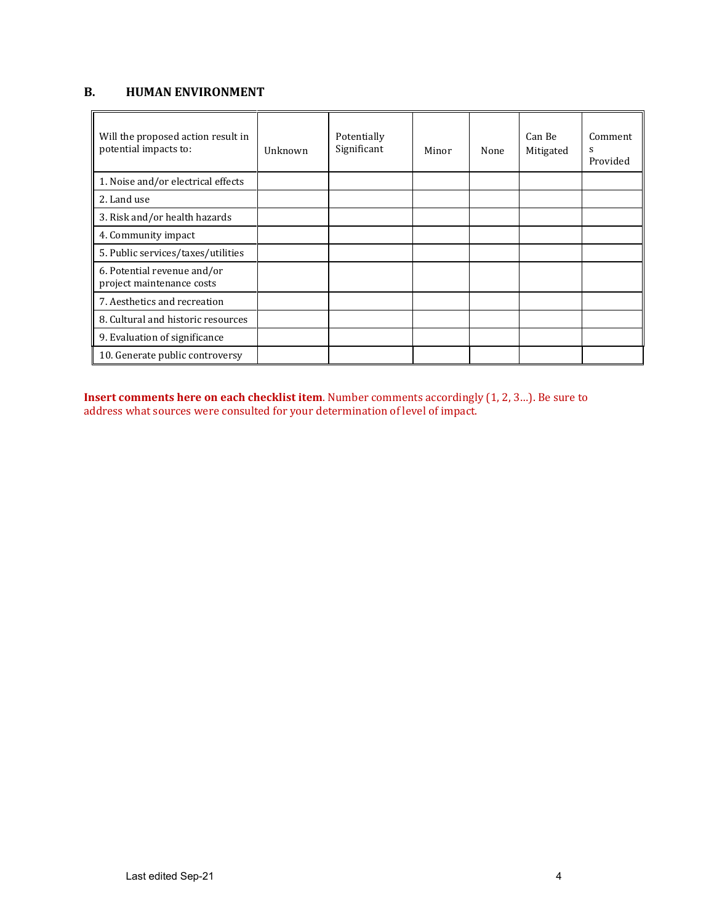# **B. HUMAN ENVIRONMENT**

| Will the proposed action result in<br>potential impacts to: | Unknown | Potentially<br>Significant | Minor | None | Can Be<br>Mitigated | Comment<br>s<br>Provided |
|-------------------------------------------------------------|---------|----------------------------|-------|------|---------------------|--------------------------|
| 1. Noise and/or electrical effects                          |         |                            |       |      |                     |                          |
| 2. Land use                                                 |         |                            |       |      |                     |                          |
| 3. Risk and/or health hazards                               |         |                            |       |      |                     |                          |
| 4. Community impact                                         |         |                            |       |      |                     |                          |
| 5. Public services/taxes/utilities                          |         |                            |       |      |                     |                          |
| 6. Potential revenue and/or<br>project maintenance costs    |         |                            |       |      |                     |                          |
| 7. Aesthetics and recreation                                |         |                            |       |      |                     |                          |
| 8. Cultural and historic resources                          |         |                            |       |      |                     |                          |
| 9. Evaluation of significance                               |         |                            |       |      |                     |                          |
| 10. Generate public controversy                             |         |                            |       |      |                     |                          |

**Insert comments here on each checklist item**. Number comments accordingly (1, 2, 3…). Be sure to address what sources were consulted for your determination of level of impact.